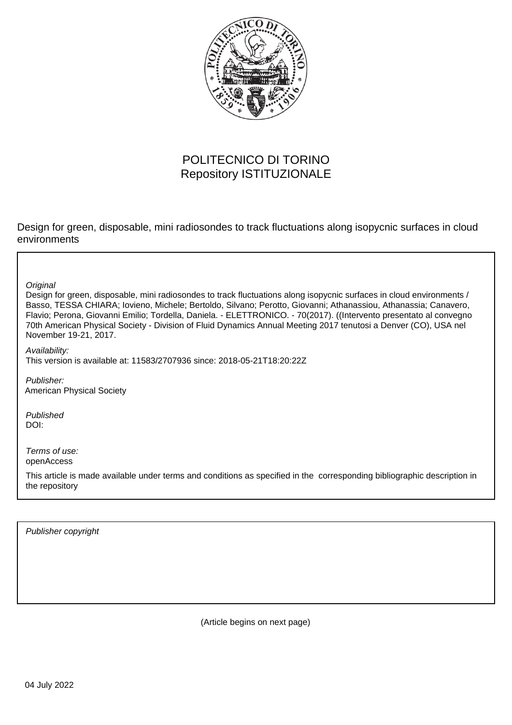

## POLITECNICO DI TORINO Repository ISTITUZIONALE

Design for green, disposable, mini radiosondes to track fluctuations along isopycnic surfaces in cloud environments

**Original** 

Design for green, disposable, mini radiosondes to track fluctuations along isopycnic surfaces in cloud environments / Basso, TESSA CHIARA; Iovieno, Michele; Bertoldo, Silvano; Perotto, Giovanni; Athanassiou, Athanassia; Canavero, Flavio; Perona, Giovanni Emilio; Tordella, Daniela. - ELETTRONICO. - 70(2017). ((Intervento presentato al convegno 70th American Physical Society - Division of Fluid Dynamics Annual Meeting 2017 tenutosi a Denver (CO), USA nel November 19-21, 2017.

Availability: This version is available at: 11583/2707936 since: 2018-05-21T18:20:22Z

Publisher: American Physical Society

Published DOI:

Terms of use: openAccess

This article is made available under terms and conditions as specified in the corresponding bibliographic description in the repository

Publisher copyright

(Article begins on next page)